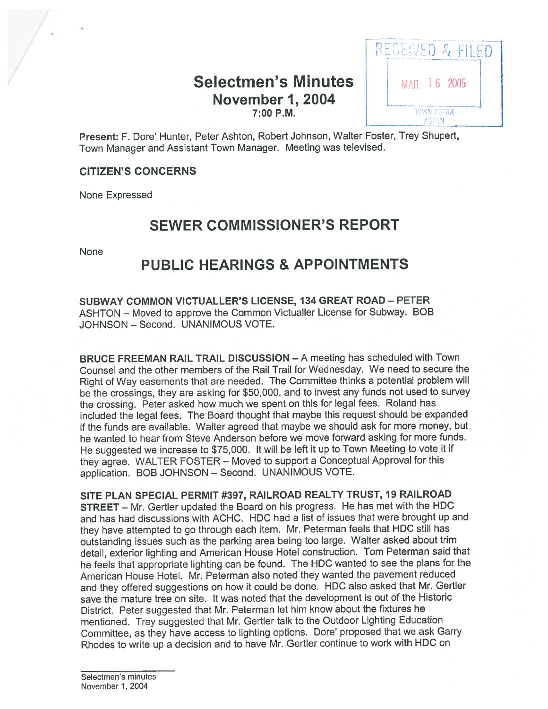# Selectmen's Minutes | MAR 16 2005 November 1, 2004



Present: F. Dore' Hunter, Peter Ashton, Robert Johnson, Walter Foster, Trey Shupert, Town Manager and Assistant Town Manager. Meeting was televised.

### CITIZEN'S CONCERNS

None Expressed

# SEWER COMMISSIONER'S REPORT

None

## PUBLIC HEARINGS & APPOINTMENTS

SUBWAY COMMON VICTUALLER'S LICENSE, 134 GREAT ROAD — PETER ASHTON — Moved to approve the Common Victualler License for Subway. BOB JOHNSON — Second. UNANIMOUS VOTE.

BRUCE FREEMAN RAIL TRAIL DISCUSSION — A meeting has scheduled with Town Counsel and the other members of the Rail Trail for Wednesday. We need to secure the Right of Way easements that are needed. The Committee thinks <sup>a</sup> potential problem will be the crossings, they are asking for \$50,000, and to invest any funds not used to survey the crossing. Peter asked how much we spen<sup>t</sup> on this for legal fees. Roland has included the legal fees. The Board thought that maybe this reques<sup>t</sup> should be expanded if the funds are available. Walter agree<sup>d</sup> that maybe we should ask for more money, but he wanted to hear from Steve Anderson before we move forward asking for more funds. He suggested we increase to \$75,000. It will be left it up to Town Meeting to vote it if they agree. WALTER FOSTER — Moved to suppor<sup>t</sup> <sup>a</sup> Conceptual Approval for this application. BOB JOHNSON — Second. UNANIMOUS VOTE.

SITE PLAN SPECIAL PERMIT #397, RAILROAD REALTY TRUST, 19 RAILROAD STREET — Mr. Gertler updated the Board on his progress. He has met with the HDC and has had discussions with ACHC. HDC had <sup>a</sup> list of issues that were brought up and they have attempted to go through each item. Mr. Peterman feels that HDC still has outstanding issues such as the parking area being too large. Walter asked about trim detail, exterior lighting and American House Hotel construction. Tom Peterman said that he feels that appropriate lighting can be found. The HDC wanted to see the <sup>p</sup>lans for the American House Hotel. Mr. Peterman also noted they wanted the pavemen<sup>t</sup> reduced and they offered suggestions on how it could be done. HDC also asked that Mr. Gertler save the mature tree on site. It was noted that the development is out of the Historic District. Peter suggested that Mr. Peterman let him know about the fixtures he mentioned. Trey suggested that Mr. Gertler talk to the Outdoor Lighting Education Committee, as they have access to lighting options. Dote' propose<sup>d</sup> that we ask Garry Rhodes to write up <sup>a</sup> decision and to have Mr. Gertler continue to work with HDC on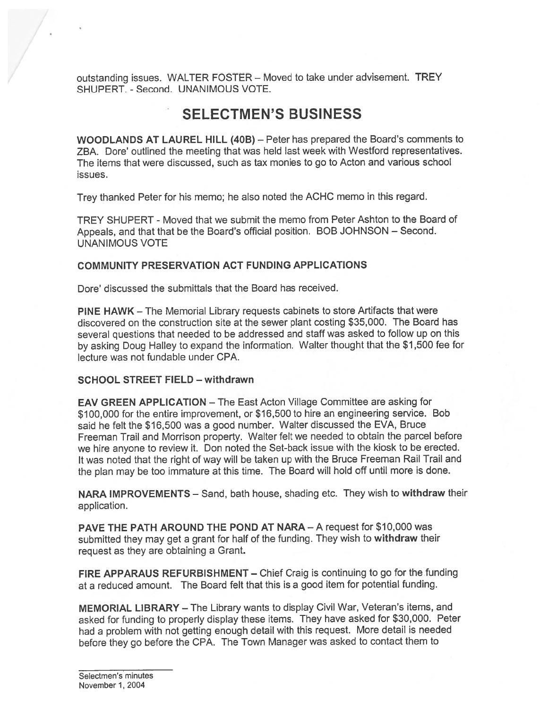outstanding issues. WALTER FOSTER — Moved to take under advisement. TREY SHUPERT. - Second. UNANIMOUS VOTE.

# SELECTMEN'S BUSINESS

WOODLANDS AT LAUREL HILL (40B) — Peter has prepared the Board's comments to ZBA. Dore' outlined the meeting that was held last week with Westford representatives. The items that were discussed, such as tax monies to go to Acton and various school issues.

Trey thanked Peter for his memo; he also noted the ACHC memo in this regard.

TREY SHUPERT - Moved that we submit the memo from Peter Ashton to the Board of Appeals, and that that be the Board's official position. BOB JOHNSON — Second. UNANIMOUS VOTE

#### COMMUNITY PRESERVATION ACT FUNDING APPLICATIONS

Dore' discussed the submittals that the Board has received.

PINE HAWK — The Memorial Library requests cabinets to store Artifacts that were discovered on the construction site at the sewer plant costing \$35,000. The Board has several questions that needed to be addressed and staff was asked to follow up on this by asking Doug Halley to expan<sup>d</sup> the information. Walter thought that the \$1,500 fee for lecture was not fundable under CPA.

#### SCHOOL STREET FIELD — withdrawn

EAV GREEN APPLICATION — The East Acton Village Committee are asking for \$100,000 for the entire improvement, or \$16,500 to hire an engineering service. Bob said he felt the \$16,500 was <sup>a</sup> good number. Walter discussed the EVA, Bruce Freeman Trail and Morrison property. Walter felt we needed to obtain the parce<sup>l</sup> before we hire anyone to review it. Don noted the Set-back issue with the kiosk to be erected. It was noted that the right of way will be taken up with the Bruce Freeman Rail Trail and the <sup>p</sup>lan may be too immature at this time. The Board will hold off until more is done.

NARA IMPROVEMENTS — Sand, bath house, shading etc. They wish to withdraw their application.

PAVE THE PATH AROUND THE POND AT NARA — A reques<sup>t</sup> for \$10,000 was submitted they may get a grant for half of the funding. They wish to withdraw their reques<sup>t</sup> as they are obtaining <sup>a</sup> Grant.

FIRE APPARAUS REFURBISHMENT — Chief Craig is continuing to go for the funding at <sup>a</sup> reduced amount. The Board felt that this is <sup>a</sup> good item for potential funding.

MEMORIAL LIBRARY — The Library wants to display Civil War, Veteran's items, and asked for funding to properly display these items. They have asked for \$30,000. Peter had a problem with not getting enough detail with this request. More detail is needed before they go before the CPA. The Town Manager was asked to contact them to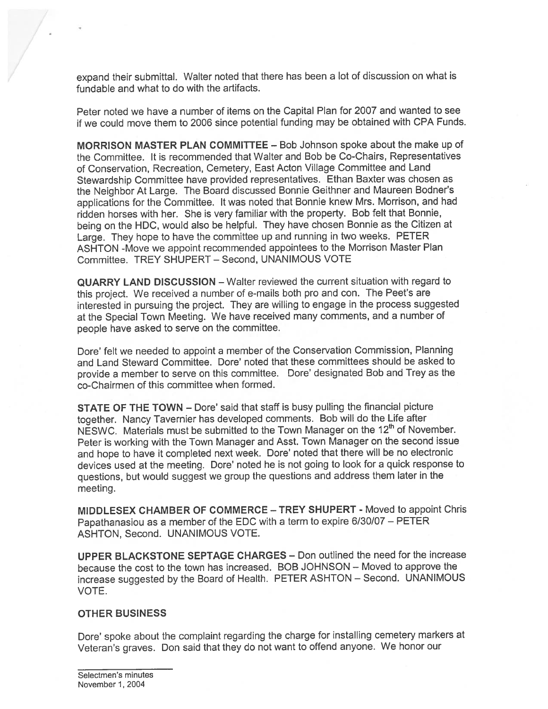expan<sup>d</sup> their submittal. Walter noted that there has been <sup>a</sup> lot of discussion on what is fundable and what to do with the artifacts.

Peter noted we have <sup>a</sup> number of items on the Capital Plan for 2007 and wanted to see if we could move them to 2006 since potential funding may be obtained with CPA Funds.

MORRISON MASTER PLAN COMMITTEE — Bob Johnson spoke about the make up of the Committee. It is recommended that Walter and Bob be Co-Chairs, Representatives of Conservation, Recreation, Cemetery, East Acton Village Committee and Land Stewardship Committee have provided representatives. Ethan Baxter was chosen as the Neighbor At Large. The Board discussed Bonnie Geithner and Maureen Bodner's applications for the Committee. It was noted that Bonnie knew Mrs. Morrison, and had ridden horses with her. She is very familiar with the property. Bob felt that Bonnie, being on the HDC, would also be helpful. They have chosen Bonnie as the Citizen at Large. They hope to have the committee up and running in two weeks. PETER ASHTON -Move we appoint recommended appointees to the Morrison Master Plan Committee. TREY SHUPERT — Second, UNANIMOUS VOTE

QUARRY LAND DISCUSSION — Walter reviewed the current situation with regar<sup>d</sup> to this project. We received <sup>a</sup> number of e-mails both pro and con. The Peet's are interested in pursuing the project. They are willing to engage in the process suggested at the Special Town Meeting. We have received many comments, and <sup>a</sup> number of people have asked to serve on the committee.

Dote' felt we needed to appoint <sup>a</sup> member of the Conservation Commission, Planning and Land Steward Committee. Dore' noted that these committees should be asked to provide a member to serve on this committee. Dore' designated Bob and Trey as the co-Chairmen of this committee when formed.

STATE OF THE TOWN — Dote' said that staff is busy pulling the financial picture together. Nancy Tavernier has developed comments. Bob will do the Life after NESWC. Materials must be submitted to the Town Manager on the 12<sup>th</sup> of November. Peter is working with the Town Manager and Asst. Town Manager on the second issue and hope to have it completed next week. Dore' noted that there will be no electronic devices used at the meeting. Dore' noted he is not going to look for <sup>a</sup> quick response to questions, but would sugges<sup>t</sup> we group the questions and address them later in the meeting.

MIDDLESEX CHAMBER OF COMMERCE — TREY SHUPERT - Moved to appoint Chris Papathanasiou as <sup>a</sup> member of the EDC with <sup>a</sup> term to expire 6/30/07 — PETER ASHTON, Second. UNANIMOUS VOTE.

UPPER BLACKSTONE SEPTAGE CHARGES — Don outlined the need for the increase because the cost to the town has increased. BOB JOHNSON — Moved to approve the increase suggested by the Board of Health. PETER ASHTON — Second. UNANIMOUS VOTE.

#### OTHER BUSINESS

Dore' spoke about the complaint regarding the charge for installing cemetery markers at Veteran's graves. Don said that they do not want to offend anyone. We honor our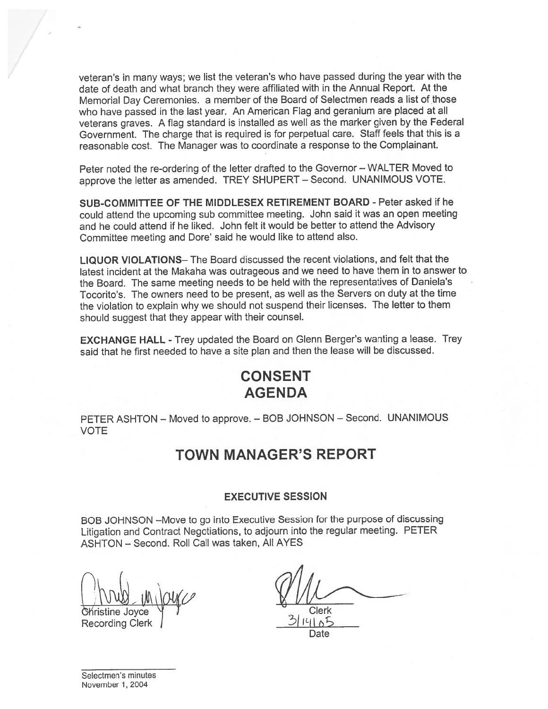veteran's in many ways; we list the veteran's who have passe<sup>d</sup> during the year with the date of death and what branch they were affiliated with in the Annual Report. At the Memorial Day Ceremonies, <sup>a</sup> member of the Board of Selectmen reads <sup>a</sup> list of those who have passe<sup>d</sup> in the last year. An American Flag and geranium are <sup>p</sup>laced at all veterans graves. <sup>A</sup> flag standard is installed as well as the marker <sup>g</sup>iven by the Federal Government. The charge that is required is for perpetual care. Staff feels that this is <sup>a</sup> reasonable cost. The Manager was to coordinate <sup>a</sup> response to the Complainant.

Peter noted the re-ordering of the letter drafted to the Governor — WALTER Moved to approve the letter as amended. TREY SHUPERT — Second. UNANIMOUS VOTE.

SUB-COMMITTEE OF THE MIDDLESEX RETIREMENT BOARD - Peter asked if he could attend the upcoming sub committee meeting. John said it was an open meeting and he could attend if he liked. John felt it would be better to attend the Advisory Committee meeting and Dore' said he would like to attend also.

LIQUOR VIOLATIONS— The Board discussed the recent violations, and felt that the latest incident at the Makaha was outrageous and we need to have them in to answer to the Board. The same meeting needs to be held with the representatives of Daniela's Tocorito's. The owners need to be present, as well as the Servers on duty at the time the violation to explain why we should not suspen<sup>d</sup> their licenses. The letter to them should sugges<sup>t</sup> that they appear with their counsel.

EXCHANGE HALL - Trey updated the Board on Glenn Berger's wanting a lease. Trey said that he first needed to have <sup>a</sup> site plan and then the lease will be discussed.

# CONSENT AGENDA

PETER ASHTON — Moved to approve. — BOB JOHNSON — Second. UNANIMOUS VOTE

### TOWN MANAGER'S REPORT

#### EXECUTIVE SESSION

BOB JOHNSON —Move to go into Executive Session for the purpose of discussing Litigation and Contract Negotiations, to adjourn into the regular meeting. PETER ASHTON — Second. Roll Call was taken, All AYES

Christine Joyce 1 Clerk

**Recording Clerk** 

Date

Selectmen's minutes November 1, 2004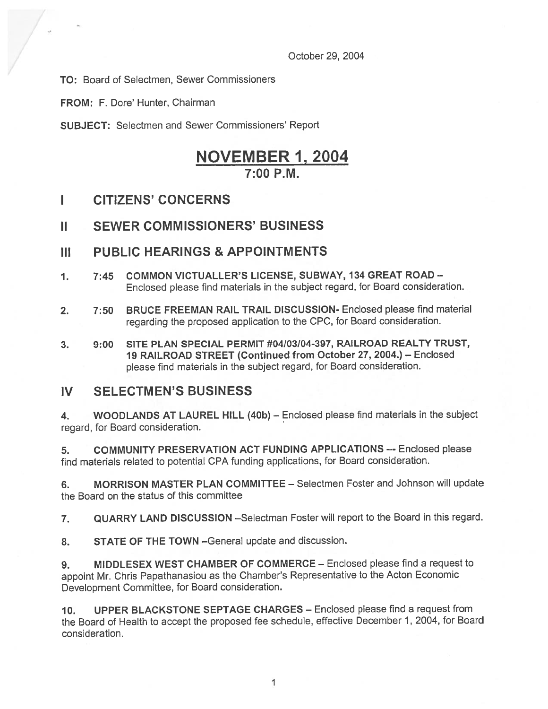October 29, 2004

TO: Board of Selectmen, Sewer Commissioners

FROM: F. Dore' Hunter, Chairman

SUBJECT: Selectmen and Sewer Commissioners' Report

# NOVEMBER 1, 2004 7:00 P.M.

### I CITIZENS' CONCERNS

### II SEWER COMMISSIONERS' BUSINESS

### III PUBLIC HEARINGS & APPOINTMENTS

- 1. 7:45 COMMON VICTUALLER'S LICENSE, SUBWAY, 134 GREAT ROAD Enclosed <sup>p</sup>lease find materials in the subject regard, for Board consideration.
- 2. 7:50 BRUCE FREEMAN RAIL TRAIL DISCUSSION- Enclosed please find material regarding the propose<sup>d</sup> application to the CPC, for Board consideration.
- 3. 9:00 SITE PLAN SPECIAL PERMIT #04/03/04-397, RAILROAD REALTY TRUST, 19 RAILROAD STREET (Continued from October 27, 2004.) — Enclosed <sup>p</sup>lease find materials in the subject regard, for Board consideration.

### IV SELECTMEN'S BUSINESS

4. WOODLANDS AT LAUREL HILL (40b) — Enclosed please find materials in the subject regard, for Board consideration.

5. COMMUNITY PRESERVATION ACT FUNDING APPLICATIONS —- Enclosed please find materials related to potential CPA funding applications, for Board consideration.

6. MORRISON MASTER PLAN COMMITTEE — Selectmen Foster and Johnson will update the Board on the status of this committee

7. QUARRY LAND DISCUSSION —Selectman Foster will repor<sup>t</sup> to the Board in this regard.

8. STATE OF THE TOWN - General update and discussion.

9. MIDDLESEX WEST CHAMBER OF COMMERCE — Enclosed please find <sup>a</sup> reques<sup>t</sup> to appoint Mr. Chris Papathanasiou as the Chamber's Representative to the Acton Economic Development Committee, for Board consideration.

10. UPPER BLACKSTONE SEPTAGE CHARGES — Enclosed please find <sup>a</sup> reques<sup>t</sup> from the Board of Health to accep<sup>t</sup> the propose<sup>d</sup> fee schedule, effective December 1, 2004, for Board consideration.